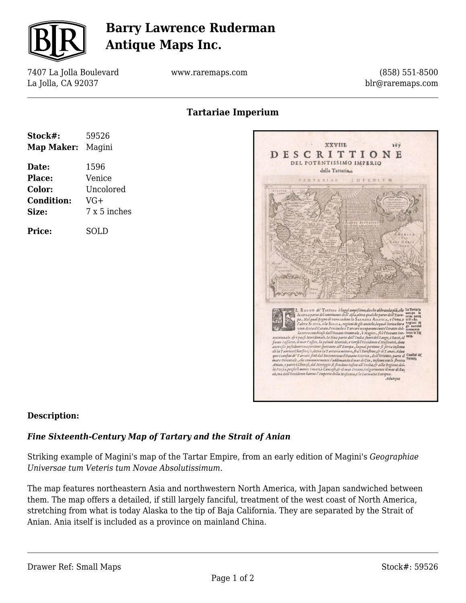

# **Barry Lawrence Ruderman Antique Maps Inc.**

7407 La Jolla Boulevard La Jolla, CA 92037

www.raremaps.com

(858) 551-8500 blr@raremaps.com

**Tartariae Imperium**

| 59526<br>Magini<br>Map Maker: |
|-------------------------------|
| 1596                          |
| Venice                        |
| Uncolored                     |
| VG+                           |
| 7 x 5 inches                  |
| SOLD                          |
|                               |



#### **Description:**

### *Fine Sixteenth-Century Map of Tartary and the Strait of Anian*

Striking example of Magini's map of the Tartar Empire, from an early edition of Magini's *Geographiae Universae tum Veteris tum Novae Absolutissimum.*

The map features northeastern Asia and northwestern North America, with Japan sandwiched between them. The map offers a detailed, if still largely fanciful, treatment of the west coast of North America, stretching from what is today Alaska to the tip of Baja California. They are separated by the Strait of Anian. Ania itself is included as a province on mainland China.